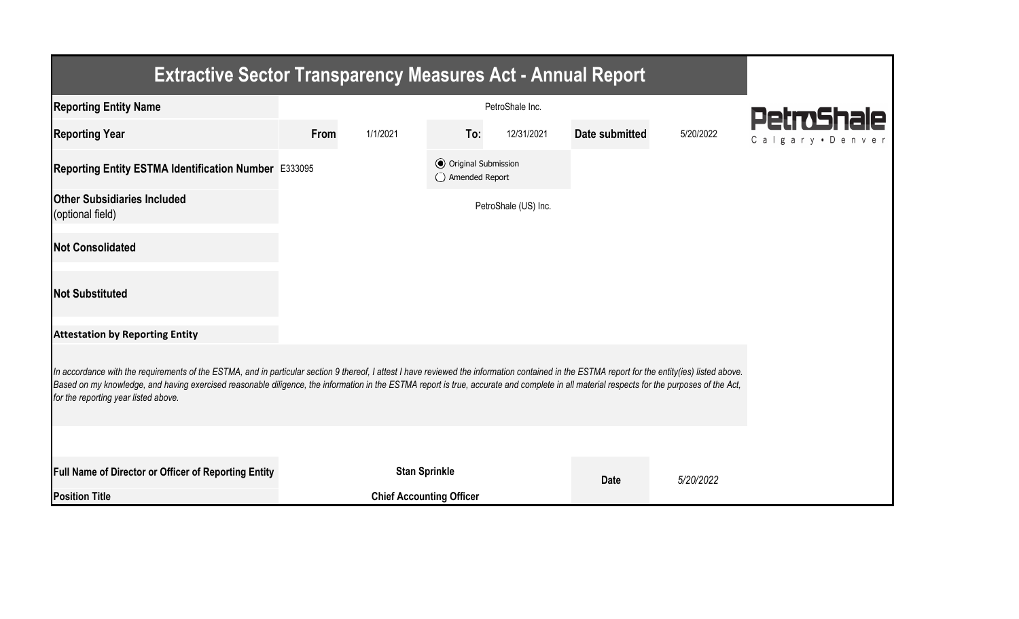| <b>Extractive Sector Transparency Measures Act - Annual Report</b>                                                                                                                                                                                                                                                                                                                                                                    |                 |                                 |                                                  |                      |                |           |                  |  |  |  |
|---------------------------------------------------------------------------------------------------------------------------------------------------------------------------------------------------------------------------------------------------------------------------------------------------------------------------------------------------------------------------------------------------------------------------------------|-----------------|---------------------------------|--------------------------------------------------|----------------------|----------------|-----------|------------------|--|--|--|
| <b>Reporting Entity Name</b>                                                                                                                                                                                                                                                                                                                                                                                                          | PetroShale Inc. |                                 |                                                  |                      |                |           | PetroShale       |  |  |  |
| <b>Reporting Year</b>                                                                                                                                                                                                                                                                                                                                                                                                                 | From            | 1/1/2021                        | To:                                              | 12/31/2021           | Date submitted | 5/20/2022 | Calgary • Denver |  |  |  |
| Reporting Entity ESTMA Identification Number E333095                                                                                                                                                                                                                                                                                                                                                                                  |                 |                                 | <b>●</b> Original Submission<br>◯ Amended Report |                      |                |           |                  |  |  |  |
| <b>Other Subsidiaries Included</b><br>(optional field)                                                                                                                                                                                                                                                                                                                                                                                |                 |                                 |                                                  | PetroShale (US) Inc. |                |           |                  |  |  |  |
| <b>Not Consolidated</b>                                                                                                                                                                                                                                                                                                                                                                                                               |                 |                                 |                                                  |                      |                |           |                  |  |  |  |
| <b>Not Substituted</b>                                                                                                                                                                                                                                                                                                                                                                                                                |                 |                                 |                                                  |                      |                |           |                  |  |  |  |
| <b>Attestation by Reporting Entity</b>                                                                                                                                                                                                                                                                                                                                                                                                |                 |                                 |                                                  |                      |                |           |                  |  |  |  |
| In accordance with the requirements of the ESTMA, and in particular section 9 thereof, I attest I have reviewed the information contained in the ESTMA report for the entity(ies) listed above.<br>Based on my knowledge, and having exercised reasonable diligence, the information in the ESTMA report is true, accurate and complete in all material respects for the purposes of the Act,<br>for the reporting year listed above. |                 |                                 |                                                  |                      |                |           |                  |  |  |  |
|                                                                                                                                                                                                                                                                                                                                                                                                                                       |                 |                                 |                                                  |                      |                |           |                  |  |  |  |
| Full Name of Director or Officer of Reporting Entity                                                                                                                                                                                                                                                                                                                                                                                  |                 | <b>Stan Sprinkle</b>            |                                                  |                      | <b>Date</b>    | 5/20/2022 |                  |  |  |  |
| <b>Position Title</b>                                                                                                                                                                                                                                                                                                                                                                                                                 |                 | <b>Chief Accounting Officer</b> |                                                  |                      |                |           |                  |  |  |  |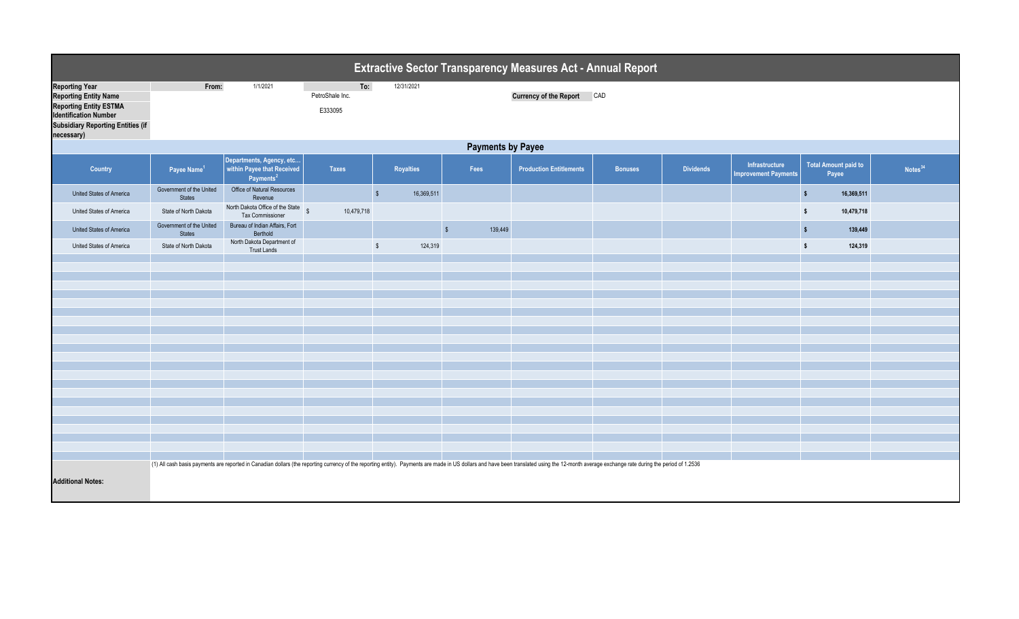| <b>Extractive Sector Transparency Measures Act - Annual Report</b>                                                                                                               |                                           |                                                                                                                                                                                                                                |                                   |                          |                       |                                   |                |                  |                                               |                                       |                     |  |
|----------------------------------------------------------------------------------------------------------------------------------------------------------------------------------|-------------------------------------------|--------------------------------------------------------------------------------------------------------------------------------------------------------------------------------------------------------------------------------|-----------------------------------|--------------------------|-----------------------|-----------------------------------|----------------|------------------|-----------------------------------------------|---------------------------------------|---------------------|--|
| <b>Reporting Year</b><br><b>Reporting Entity Name</b><br><b>Reporting Entity ESTMA</b><br><b>Identification Number</b><br><b>Subsidiary Reporting Entities (if</b><br>necessary) | From:                                     | 1/1/2021                                                                                                                                                                                                                       | To:<br>PetroShale Inc.<br>E333095 | 12/31/2021               |                       | <b>Currency of the Report CAD</b> |                |                  |                                               |                                       |                     |  |
|                                                                                                                                                                                  | <b>Payments by Payee</b>                  |                                                                                                                                                                                                                                |                                   |                          |                       |                                   |                |                  |                                               |                                       |                     |  |
| Country                                                                                                                                                                          | Payee Name <sup>1</sup>                   | Departments, Agency, etc<br>within Payee that Received<br>Payments <sup>2</sup>                                                                                                                                                | <b>Taxes</b>                      | <b>Royalties</b>         | Fees                  | <b>Production Entitlements</b>    | <b>Bonuses</b> | <b>Dividends</b> | Infrastructure<br><b>Improvement Payments</b> | <b>Total Amount paid to</b><br>Payee  | Notes <sup>34</sup> |  |
| United States of America                                                                                                                                                         | Government of the United<br><b>States</b> | Office of Natural Resources<br>Revenue                                                                                                                                                                                         |                                   | $\sqrt{2}$<br>16,369,511 |                       |                                   |                |                  |                                               | $\sqrt[6]{\frac{1}{2}}$<br>16,369,511 |                     |  |
| United States of America                                                                                                                                                         | State of North Dakota                     | North Dakota Office of the State<br>Tax Commissioner                                                                                                                                                                           | $\mathbb{S}$<br>10,479,718        |                          |                       |                                   |                |                  |                                               | $\sqrt{2}$<br>10,479,718              |                     |  |
| United States of America                                                                                                                                                         | Government of the United<br><b>States</b> | Bureau of Indian Affairs, Fort<br>Berthold                                                                                                                                                                                     |                                   |                          | $\sqrt{2}$<br>139,449 |                                   |                |                  |                                               | 139,449<br>$\sqrt{2}$                 |                     |  |
| United States of America                                                                                                                                                         | State of North Dakota                     | North Dakota Department of<br><b>Trust Lands</b>                                                                                                                                                                               |                                   | 124,319<br>$\mathbb{S}$  |                       |                                   |                |                  |                                               | $\mathsf{s}$<br>124,319               |                     |  |
|                                                                                                                                                                                  |                                           |                                                                                                                                                                                                                                |                                   |                          |                       |                                   |                |                  |                                               |                                       |                     |  |
|                                                                                                                                                                                  |                                           |                                                                                                                                                                                                                                |                                   |                          |                       |                                   |                |                  |                                               |                                       |                     |  |
|                                                                                                                                                                                  |                                           |                                                                                                                                                                                                                                |                                   |                          |                       |                                   |                |                  |                                               |                                       |                     |  |
|                                                                                                                                                                                  |                                           |                                                                                                                                                                                                                                |                                   |                          |                       |                                   |                |                  |                                               |                                       |                     |  |
|                                                                                                                                                                                  |                                           |                                                                                                                                                                                                                                |                                   |                          |                       |                                   |                |                  |                                               |                                       |                     |  |
|                                                                                                                                                                                  |                                           |                                                                                                                                                                                                                                |                                   |                          |                       |                                   |                |                  |                                               |                                       |                     |  |
|                                                                                                                                                                                  |                                           |                                                                                                                                                                                                                                |                                   |                          |                       |                                   |                |                  |                                               |                                       |                     |  |
|                                                                                                                                                                                  |                                           |                                                                                                                                                                                                                                |                                   |                          |                       |                                   |                |                  |                                               |                                       |                     |  |
|                                                                                                                                                                                  |                                           |                                                                                                                                                                                                                                |                                   |                          |                       |                                   |                |                  |                                               |                                       |                     |  |
|                                                                                                                                                                                  |                                           |                                                                                                                                                                                                                                |                                   |                          |                       |                                   |                |                  |                                               |                                       |                     |  |
|                                                                                                                                                                                  |                                           |                                                                                                                                                                                                                                |                                   |                          |                       |                                   |                |                  |                                               |                                       |                     |  |
|                                                                                                                                                                                  |                                           |                                                                                                                                                                                                                                |                                   |                          |                       |                                   |                |                  |                                               |                                       |                     |  |
|                                                                                                                                                                                  |                                           |                                                                                                                                                                                                                                |                                   |                          |                       |                                   |                |                  |                                               |                                       |                     |  |
| <b>Additional Notes:</b>                                                                                                                                                         |                                           | (1) All cash basis payments are reported in Canadian dollars (the reporting currency of the reporting entity). Payments are made in US dollars and have been translated using the 12-month average exchange rate during the pe |                                   |                          |                       |                                   |                |                  |                                               |                                       |                     |  |